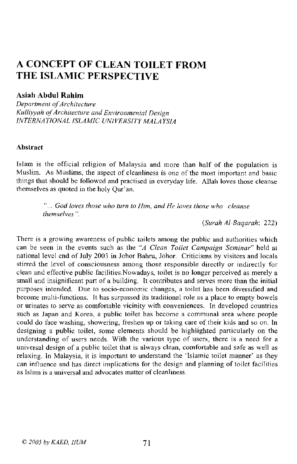# A CONCEPT OF CLEAN TOILET FROM THE ISLAMIC PERSPECTIVE

#### Asiah Abdul Rahim

*Department of Architecture Kulliyyah afArchitecture and Environmental Design INTERNATIONAL ISLAMIC UNIVERSITY MALAYSIA*

#### Abstract

Islam is the official religion of Malaysia and more than half of the population is Muslim. As Muslims, the aspect of cleanliness is one of the most important and basic things that should be followed and practised in everyday life. Allah loves those cleanse themselves as quoted in the holy Qur'an.

> .. *God loves those who turn to Him, and He loves those who cleanse themselves* ".

> > *(Surah Al-Baqarah: 222)*

There is a growing awareness of public toilets among the public and authorities which can be seen in the events such as the *"A Clean Toilet Campaign Seminar"* held at national level end of July 2003 in lohor Bahru, Johor. Criticisms by visitors and locals stirred the level of consciousness among those responsible directly or indirectly for clean and effective public facilities.Nowadays, toilet is no longer perceived as merely a small and insignificant part of a building. It contributes and serves more than the initial purposes intended. Due to socio-economic changes, a toilet has been diversified and become multi-functions. It has surpassed its traditional role as a place to empty bowels or urinates to serve as comfortable vicinity with conveniences. In developed countries such as Japan and Korea, a public toilet has become a communal area where people could do face washing, showering, freshen up or taking care of their kids and so on. In designing a public toilet, some elements should be highlighted particularly on the understanding of users needs. With the various type of users, there is a need for a universal design of a public toilet that is always clean, comfortable and safe as well as relaxing. In Malaysia, it is important to understand the 'Islamic toilet manner' as they can influence and has direct implications for the design and planning of toilet facilities as Islam is a universal and advocates matter of cleanliness.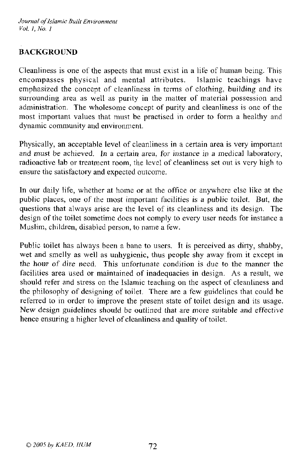## **BACKGROUND**

Cleanliness is one of the aspects that must exist in a life of human being. This encompasses physical and mental attributes. Islamic teachings have emphasized the concept of cleanliness in terms of clothing, building and its surrounding area as well as purity in the matter of material possession and administration. The wholesome concept of purity and cleanliness is one of the most important values that must be practised in order to form a healthy and **dynamic community and environment.**

Physically, an acceptable level of cleanliness in a certain area is very important **and** *must* **be achieved. In a certain area, for instance in a medical laboratory,** radioactive lab or treatment room, the level of cleanliness set out is very high to ensure the satisfactory and expected outcome.

**In** our daily life, whether at horne or at the office or anywhere else like at the public places, one of the most important facilities is a public toilet. But, the questions that always arise are the level of its cleanliness and its design. The design of the toilet sometime does not comply to every user needs for instance a Muslim, children, disabled person, to name a few.

Public toilet has always been a bane to users. It is perceived as dirty, shabby, wet and smelly as well as unhygienic, thus people shy away from it except in the hour of dire need. This unfortunate condition is due to the manner the facilities area used or maintained of inadequacies in design. As a result, we should refer and stress on the Islamic teaching on the aspect of cleanliness and the philosophy of designing of toilet. There are a few guidelines that could be referred to in order to improve the present state of toilet design and its usage. New design guidelines should be outlined that are more suitable and effective hence ensuring a higher level of cleanliness and quality of toilet.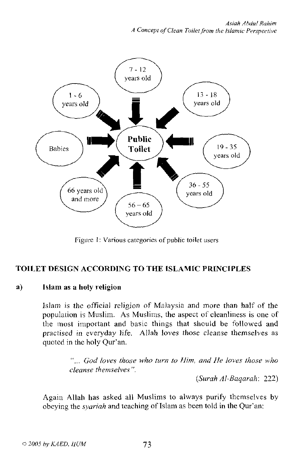

Figure 1: Various categories of public toilet users

## TOILET DESIGN ACCORDING TO THE ISLAMIC PRINCIPLES

#### a) Islam as a holy religion

lslam is the official religion of Malaysia and more than half of the population is Muslim. As Muslims, the aspect of cleanliness is one of the most important and basic things that should be followed and practised in everyday life. Allah loves those cleanse themselves as quoted in the holy Qur'an.

> "... *God loves those who turn to Him, and He loves those who cleanse themselves".*

> > *(Surah AI-Baqarah: 222)*

Again Allah has asked all Muslims to always purify themselves by obeying the *syariah* and teaching of Islam as been told in the Qur'an: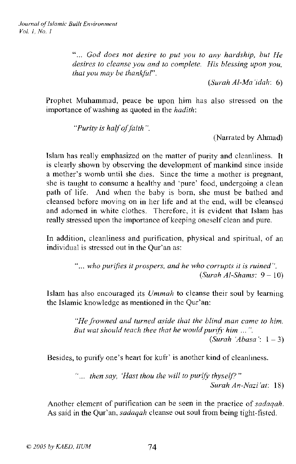*God does not desire to put you to any hardship, but He desires to cleanse you and to complete. His blessing upon you, that* you may be thankful".

*(Surah AI-Ma 'idaho 6)*

Prophet Muhammad, peace be upon him has also stressed on the importance of washing as quoted in the *hadith:*

*"Purity is halfoffaith".*

(Narrated by Ahmad)

Islam has really emphasized on the matter of purity and cleanliness. It is clearly shown by observing the development of mankind since inside a mother's womb until she dies. Since the time a mother is pregnant, she is taught to consume a healthy and 'pure' food, undergoing a clean path of life. And when the baby is born, she must be bathed and cleansed before moving on in her life and at the end, will be cleansed and adorned in white clothes. Therefore, it is evident that Islam has really stressed upon the importance of keeping oneself clean and pure.

In addition, cleanliness and purification, physical and spiritual, of an individual is stressed out in the Qur'an as:

> **"...** *who purifies it prospers, and he who corrupts it is ruined". (Surah AI-Shams:* 9 - 10)

Islam has also encouraged its *Ummah* to cleanse their soul by learning the Islamic knowledge as mentioned in the Qur'an:

> *"He fi'owned and turned aside that the blind man camc to him. But wat should teach thee that he would purifj' him* ... ". *(Surah 'Abasa* ': I - 3)

Besides, to purify one's heart for kufr' is another kind of cleanliness.

"... *then say, 'Hast thou the will to purify thyself?" Surah An-Nazi 'at:* 18)

Another element of purification can be seen in the practice of *sadaqah.* As said in the Qur'an, *sadaqah* cleanse out soul from being tight-fisted.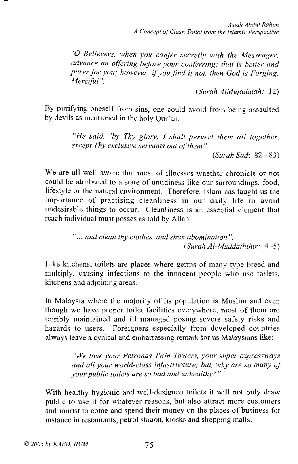*'0 Believers, when you confer secretly with the Messenger, advance an offering before your conferring; that* is *better and purer for you; however, ifyou find it not, then God* is *Forging, Merciful".*

*(Surah AIMujadalah. 12)*

By purifying oneself from sins, one could avoid from being assaulted by devils as mentioned in the holy Qur'an.

> *"He said, 'by Thy glory,* I *shall pervert them all together, except Thy exclusive servants out of them* ".

> > *(Surah Sad:* 82 - 83)

We are all well aware that most of illnesses whether chronicle or not could be attributed to a state of untidiness like our surroundings, food, lifestyle or the natural environment. Therefore, Islam has taught us the importance of practising cleanliness in our daily life to avoid undesirable things to occur. Cleanliness is an essential element that reach individual must posses as told by Allah:

> " ... *and clean thy clothes, and shun abomination". (Surah Al-Muddaththir:* 4 -5)

Like kitchens, toilets are places where germs of many type breed and multiply, causing infections to the innocent people who use toilets, kitchens and adjoining areas.

In Malaysia where the majority of its population is Muslim and even though we have proper toilet facilities everywhere, most of them are terribly maintained and ill managed posing severe safety risks and hazards to users. Foreigners especially from developed countries always leave a cynical and embarrassing remark for us Malaysians like:

> *"We love your Petronas Twin Towers, your super expressways and all your world-class in}astructure; hut, why are so many of your public toilets are so had and unhealthy?"*

With healthy hygienic and well-designed toilets it will not only draw public to use it for whatever reasons, but also attract more customers and tourist to come and spend their money on the places of business for instance in restaurants, petrol station, kiosks and shopping malls.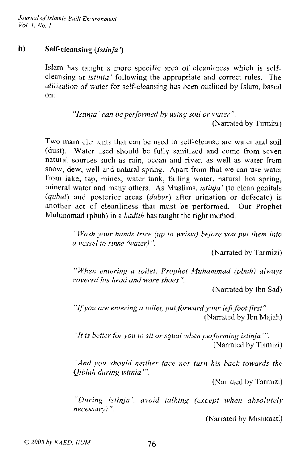## b) Self-cleansing *(Istinja* ')

Islam has taught a more specific area of cleanliness which is selfcleansing or *istinja'* following the appropriate and correct rules. The utilization of water for self-cleansing has been outlined by Islam, based on:

> *"Istinja* ' *can be performed by using soil or water".* (Narrated by Tirmizi)

Two main elements that can be used to self-cleanse are water and soil (dust). Water used should be fully sanitized and come from seven natural sources such as rain, ocean and river, as well as water from snow, dew, well and natural spring. Apart from that we can use water from lake, tap, mines, water tank, falling water, natural hot spring, mineral water and many others. As Muslims, *istioja'* (to clean genitals *(qubul)* and posterior areas *(dubur)* after urination or defecate) is another act of cleanliness that must be performed. Our Prophet Muhammad (pbuh) in a *hadith* has taught the right method:

> " *Wash your hands trice (up to wrists) before you put them into a vessel to rinse (water)".*

> > (Narrated by Tarmizi)

*"When entering* a *toilet, Prophet Muhammad (pbuh) always covered his head and wore shoes* ".

(Narrated by Ibn Sad)

"If*you are entering a toilet, putforward your leftfootfirst* ". (Narrated by Ibn Majah)

"It *is betterfor you to sit or squat when performing istinja* "'. (Narrated by Tirmizi)

*"And you should neither face nor turn his back towards the Qiblah during istioja* "'.

(Narrated by Tarmizi)

*"During istinja', avoid talking (except when absolutely necessary)* ".

(Narrated by Mishkaati)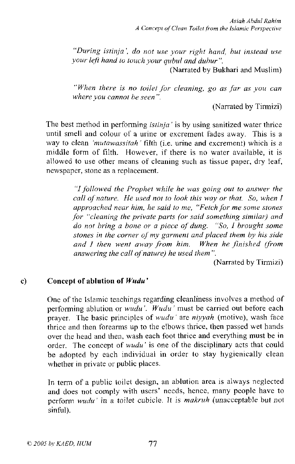*"During istinja', do not use your right hand, hut instead use your left hand to touch your qubul and duhur* ".

(Narrated by Bukhari and Muslim)

*"When there is no toilet for cleaning, go as jar as you can where you cannot be seen".*

(Narrated by Tirmizi)

The best method in perfonning *istinja'* is by using sanitized water thrice until smell and colour of a urine or excrement fades away. This is a way to clean *'mutawassitah'* fIlth (i.e. urine and excrement) which is a middle form of filth. However, if there is no water available, it is allowed to use other means of cleaning such as tissue paper, dry leaf, **newspaper, stone as a replacement.**

> *"1 followed the Prophet while he was going out to answer the call ojnature. He used not to look this way or that. So, when* I *approached near him, he said to me, "Fetch for me some s/Ones for "cleaning the private parts (or said something similar) and do not bring a bone or a piece at dung. "So,* <sup>I</sup> *brought some stones in the corner ofmy garment and placed them by his side and* 1 *then went away from him. When he finished (from answering the call ofnature) he used them* ".

> > (Narrated by Tirmizi)

#### c) Concept of ablution **of** *Wudu'*

One of the Islamic teachings regarding cleanliness involves a method of performing ablution or *wudu'. Wudu'* must be carried out before each prayer. The basic principles of *wudu'* are *niyyah* (motive), wash face thrice and then forearms up to the elbows thrice, then passed wet hands over the head and then, wash each foot thrice **and** everything must be in order. The concept of *wudu'* is one of the disciplinary acts that could be adopted by each individual **in** order to stay hygienically clean whether **in** private or public places.

**In** term of a public toilet design, an ablution area is always neglected **and** does not comply with users' needs, hence, many people have to perfonn *wudu'* in a toilet cubicle. It is *makruh* (unacceptable but not sinful).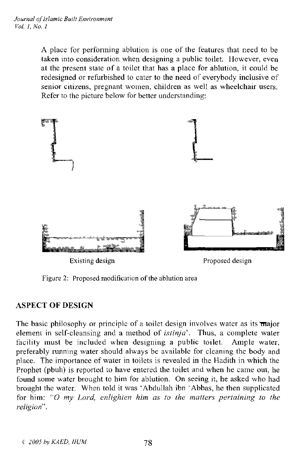A place for performing ablution is one of the features that need to be taken into consideration when designing a public toilet. However, even at the present state of a toilet that has a place for ablution, it could be redesigned or refurbished to cater to the need of everybody inclusive of senior citizens, pregnant women, children as well as wheelchair users. Refer to the picture below for better understanding:



Figure 2: Proposed modification of the ablution area

#### ASPECT OF DESIGN

The basic philosophy or principle of a toilet design involves water as its  $\overline{\text{ma}}$ element in self-cleansing and a method of *istinja'.* Thus, a complete water facility must be included when designing a public toilet. Ample water, preferably running water should always be available for cleaning the body and place. The importance of water in toilets is revealed in the Hadith in which the Prophet (pbuh) is reported to have entered the toilet and when he came out, he found some water brought to him for ablution. On seeing it, he asked who had brought the water. When told it was"Abdullah ibn"Abbas, he then supplicated for him: "0 *my Lord, enlighten him as to the matters pertaining to the religion".*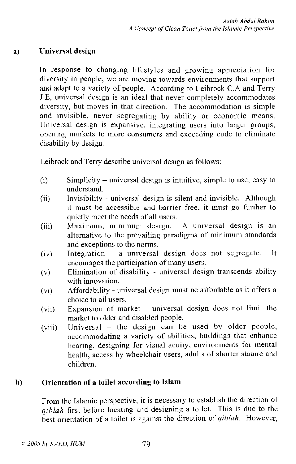### a) Universal design

In response to changing lifestyles and growing appreciation for diversity in people, we are moving towards environments that support and adapt to a variety of people. According to Leibrock C.A and Terry J.E. universal design is an ideal that never completely accommodates diversity, **but** moves in that direction. The accommodation is simple and invisible, never segregating by ability or economic means. Universal design is expansive, integrating users into larger groups; opening markets to more consumers and exceeding code to eliminate disability by design.

Leibrock and Terry describe universal design as follows:

- $(i)$  Simplicity universal design is intuitive, simple to use, easy to nnderstand.
- (ii) Invisibility universal design is silent and invisible. Although it must be accessible and barrier free, it must go further to quietly meet the needs of all users.
- (iii) Maximum, minimum design. A universal design is an alternative to the prevailing paradigms of minimum standards and exceptions to the norms.
- (iv) Integration a universal design does not segregate. It encourages the participation of many users.
- (v) Elimination of disability universal design transcends ability with innovation.
- (vi) Affordability universal design must be affordable as it offers a choice to all users.
- $(vii)$  Expansion of market universal design does not limit the market to older and disabled people.
- (viii) Universal the design can be used by older people, accommodating a variety of abilities, buildings that enhance hearing, designing for visual acuity, environments for mental health, access by wheelchair users, adults of shorter stature and children.

## b) Orientation of a toilet according to Islam

From the Islamic perspective, it is necessary to establish the direction of *qiblah* first before locating and designing a toilet. This is due to the best orientation of a toilet is against the direction of *qihlah.* However,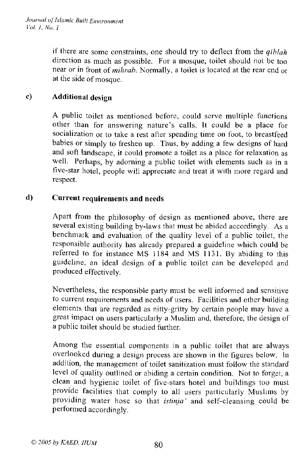*Journal of Islamic Built Environment Vol.* J, *No.* J

> if there are some constraints, one should try to deflect from the *qiblah* direction as much as possible. For a mosque, toilet should not be too near or in front of *mihrab.* Normally, a toilet is located at the rear end or at the side of mosque.

## c) Additional design

A public toilet as mentioned before, could serve multiple functions other than for answering nature's calls. It could be a place for socialization or to take a rest after spending time on foot, to breastfeed babies or simply to freshen up. Thus, by adding a few designs of hard and soft landscape, it could promote a toilet as a place for relaxation as well. Perhaps, by adorning a public toilet with elements such as in a five-star hotel, people will appreciatc and treat it with more regard and respect.

## d) Current requirements and needs

Apart from the philosophy of design as mentioned above, there are several existing building by-laws that must be abided accordingly. As a benchmark and evaluation of the quality level of a public toilet, the responsible authority has already prepared a guideline which could be referred to for instance MS 1184 and MS 1131. By abiding to this guidcline, an ideal design of a public toilet can be developed and produced effectively.

Nevertheless, the responsible party must be well informed and sensitive to current requirements and needs of users. Facilities and other building elements that are regarded as nitty-gritty by certain people may have a great impact on users particularly a Muslim and, therefore, the design of a public toilet should be studied further.

Among the essential components in a public toilet that are always overlooked during a design process are shown in the figures below. In addition, the management of toilet sanitization must follow the standard level of quality outlined or abiding a certain condition. Not to forget, a clean and hygienic toilet of five-stars hotel and buildings too must provide facilities that comply to all users particularly Muslims by providing water hose so that *istinja'* and self-cleansing could be performed accordingly.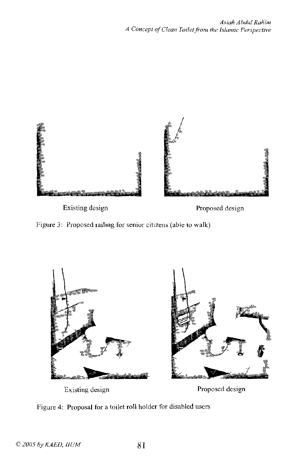

Existing design **Proposed design** 





Existing design **Proposed design** 

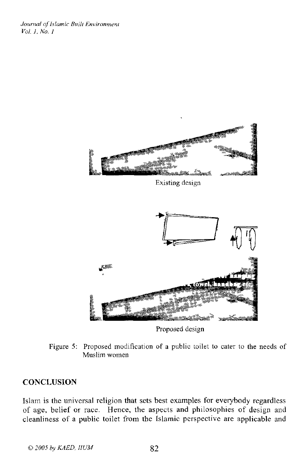*Journal ofIslamic Built Environment Vol.* J, *No.* I.



**Proposed design**

**Figure 5: Proposed modification of a public toilet to cater to the needs of Muslim women**

#### **CONCLUSION**

Islam is the universal religion that sets best examples for everybody regardless of age, belief Or race. Hence, the aspects and philosophies of design and cleanliness of a public toilet from the Islamic perspective are applicable and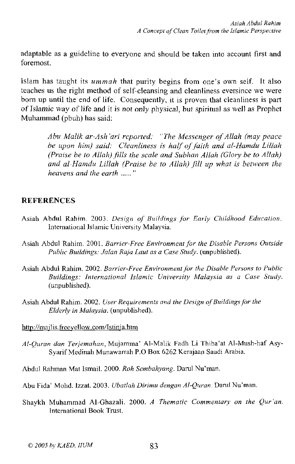adaptable as a guideline to everyone and should be taken into account first and foremost.

Islam has taught its *ummah* that purity begins from one's own self. It also teaches us the right method of self-cleansing and cleanliness eversince we were born up until the end of life. Consequently, it is proven that cleanliness is part of Islamic way of life and it is not only physical, but spiritual as well as Prophet Muhammad (pbuh) has said:

> *Abu Malik ar-Ash 'ari reported: "The Messenger ofAllah (may peace be upon him) said: Cleanliness is half ofjaith and al-Hamdu Lillah (Praise be to Allah) fills the scale and Subhan Allah (Glory be to Allah) and al-Hamdu Lillah (Praise be to Allah) jill up what is between the heavens and the earth* ..... "

### **REFERENCES**

- Asiah Abdul Rahim. 2003. *Design of Buildings Jor Early Childhood Education.* **International Islamic University Malaysia.**
- **Asiah Abdul Rahim. 2001.** *Barrier-Free Environment jar the Disable Persons Outside Public Buildings: Jalan Raja Laut as a Case Study.* (unpublished).
- **Asiah Abdul Rahim. 2002.** *Barrier-Free Environmentfor the Disable Persons to Public Buildings: International Islamic University Malaysia as a Case Study.* (unpublished).
- **Asiah Abdul Rahim. 2002.** *User Requirements and the Design ofBuildingsjar the Elderly in Malaysia.* (unpublished).

**httpj/majlis.frceyellow.com/lstinja.htm**

*Al-Quran dan Terjemahan,* Mujamma' AI-Malik Fadh Li Thiba'al AI-Mush-haf Asy-**SyarifMedinah Munawarrah P.O Box 6262 Kerajaan Saudi Arabia.**

Abdul Rahman Mat Ismail. 2000. *Roh Sembahyang.* Darul Nu'man.

Abu Fida' Mohd. Izzat. 2003. *Ubatlah Dirimu dengan Al-Quran*. Darul Nu'man.

Shaykh Muhammad AI-Ghazali. 2000. *A Thematic Commentary on the Qur'an.* **International Book Trust.**